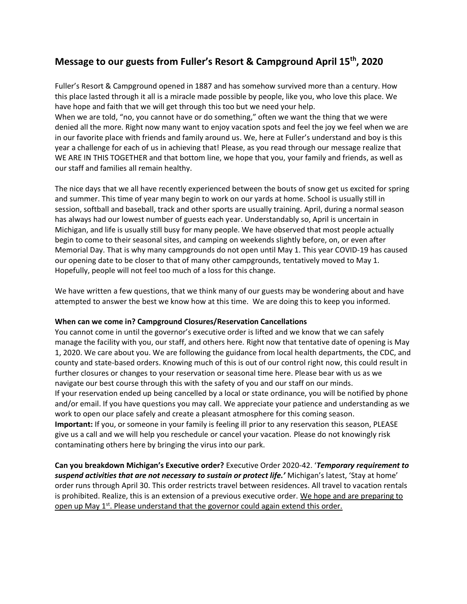# **Message to our guests from Fuller's Resort & Campground April 15th, 2020**

Fuller's Resort & Campground opened in 1887 and has somehow survived more than a century. How this place lasted through it all is a miracle made possible by people, like you, who love this place. We have hope and faith that we will get through this too but we need your help.

When we are told, "no, you cannot have or do something," often we want the thing that we were denied all the more. Right now many want to enjoy vacation spots and feel the joy we feel when we are in our favorite place with friends and family around us. We, here at Fuller's understand and boy is this year a challenge for each of us in achieving that! Please, as you read through our message realize that WE ARE IN THIS TOGETHER and that bottom line, we hope that you, your family and friends, as well as our staff and families all remain healthy.

The nice days that we all have recently experienced between the bouts of snow get us excited for spring and summer. This time of year many begin to work on our yards at home. School is usually still in session, softball and baseball, track and other sports are usually training. April, during a normal season has always had our lowest number of guests each year. Understandably so, April is uncertain in Michigan, and life is usually still busy for many people. We have observed that most people actually begin to come to their seasonal sites, and camping on weekends slightly before, on, or even after Memorial Day. That is why many campgrounds do not open until May 1. This year COVID-19 has caused our opening date to be closer to that of many other campgrounds, tentatively moved to May 1. Hopefully, people will not feel too much of a loss for this change.

We have written a few questions, that we think many of our guests may be wondering about and have attempted to answer the best we know how at this time. We are doing this to keep you informed.

#### **When can we come in? Campground Closures/Reservation Cancellations**

You cannot come in until the governor's executive order is lifted and we know that we can safely manage the facility with you, our staff, and others here. Right now that tentative date of opening is May 1, 2020. We care about you. We are following the guidance from local health departments, the CDC, and county and state-based orders. Knowing much of this is out of our control right now, this could result in further closures or changes to your reservation or seasonal time here. Please bear with us as we navigate our best course through this with the safety of you and our staff on our minds. If your reservation ended up being cancelled by a local or state ordinance, you will be notified by phone and/or email. If you have questions you may call. We appreciate your patience and understanding as we work to open our place safely and create a pleasant atmosphere for this coming season. **Important:** If you, or someone in your family is feeling ill prior to any reservation this season, PLEASE give us a call and we will help you reschedule or cancel your vacation. Please do not knowingly risk contaminating others here by bringing the virus into our park.

**Can you breakdown Michigan's Executive order?** Executive Order 2020-42. '*Temporary requirement to suspend activities that are not necessary to sustain or protect life.'* Michigan's latest, 'Stay at home' order runs through April 30. This order restricts travel between residences. All travel to vacation rentals is prohibited. Realize, this is an extension of a previous executive order. We hope and are preparing to open up May 1<sup>st</sup>. Please understand that the governor could again extend this order.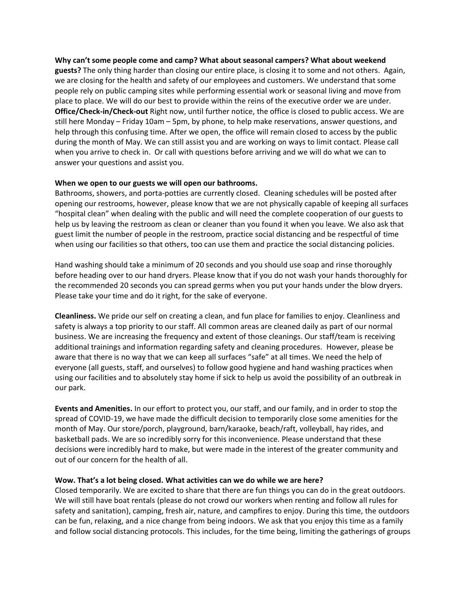**Why can't some people come and camp? What about seasonal campers? What about weekend guests?** The only thing harder than closing our entire place, is closing it to some and not others. Again, we are closing for the health and safety of our employees and customers. We understand that some people rely on public camping sites while performing essential work or seasonal living and move from place to place. We will do our best to provide within the reins of the executive order we are under. **Office/Check-in/Check-out** Right now, until further notice, the office is closed to public access. We are still here Monday – Friday 10am – 5pm, by phone, to help make reservations, answer questions, and help through this confusing time. After we open, the office will remain closed to access by the public during the month of May. We can still assist you and are working on ways to limit contact. Please call when you arrive to check in. Or call with questions before arriving and we will do what we can to answer your questions and assist you.

#### **When we open to our guests we will open our bathrooms.**

Bathrooms, showers, and porta-potties are currently closed. Cleaning schedules will be posted after opening our restrooms, however, please know that we are not physically capable of keeping all surfaces "hospital clean" when dealing with the public and will need the complete cooperation of our guests to help us by leaving the restroom as clean or cleaner than you found it when you leave. We also ask that guest limit the number of people in the restroom, practice social distancing and be respectful of time when using our facilities so that others, too can use them and practice the social distancing policies.

Hand washing should take a minimum of 20 seconds and you should use soap and rinse thoroughly before heading over to our hand dryers. Please know that if you do not wash your hands thoroughly for the recommended 20 seconds you can spread germs when you put your hands under the blow dryers. Please take your time and do it right, for the sake of everyone.

**Cleanliness.** We pride our self on creating a clean, and fun place for families to enjoy. Cleanliness and safety is always a top priority to our staff. All common areas are cleaned daily as part of our normal business. We are increasing the frequency and extent of those cleanings. Our staff/team is receiving additional trainings and information regarding safety and cleaning procedures. However, please be aware that there is no way that we can keep all surfaces "safe" at all times. We need the help of everyone (all guests, staff, and ourselves) to follow good hygiene and hand washing practices when using our facilities and to absolutely stay home if sick to help us avoid the possibility of an outbreak in our park.

**Events and Amenities.** In our effort to protect you, our staff, and our family, and in order to stop the spread of COVID-19, we have made the difficult decision to temporarily close some amenities for the month of May. Our store/porch, playground, barn/karaoke, beach/raft, volleyball, hay rides, and basketball pads. We are so incredibly sorry for this inconvenience. Please understand that these decisions were incredibly hard to make, but were made in the interest of the greater community and out of our concern for the health of all.

#### **Wow. That's a lot being closed. What activities can we do while we are here?**

Closed temporarily. We are excited to share that there are fun things you can do in the great outdoors. We will still have boat rentals (please do not crowd our workers when renting and follow all rules for safety and sanitation), camping, fresh air, nature, and campfires to enjoy. During this time, the outdoors can be fun, relaxing, and a nice change from being indoors. We ask that you enjoy this time as a family and follow social distancing protocols. This includes, for the time being, limiting the gatherings of groups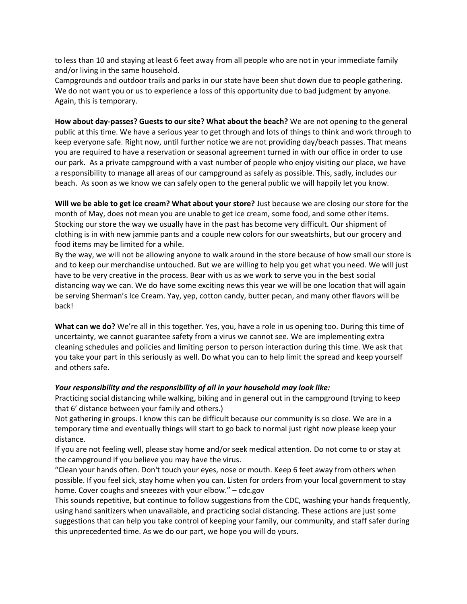to less than 10 and staying at least 6 feet away from all people who are not in your immediate family and/or living in the same household.

Campgrounds and outdoor trails and parks in our state have been shut down due to people gathering. We do not want you or us to experience a loss of this opportunity due to bad judgment by anyone. Again, this is temporary.

**How about day-passes? Guests to our site? What about the beach?** We are not opening to the general public at this time. We have a serious year to get through and lots of things to think and work through to keep everyone safe. Right now, until further notice we are not providing day/beach passes. That means you are required to have a reservation or seasonal agreement turned in with our office in order to use our park. As a private campground with a vast number of people who enjoy visiting our place, we have a responsibility to manage all areas of our campground as safely as possible. This, sadly, includes our beach. As soon as we know we can safely open to the general public we will happily let you know.

**Will we be able to get ice cream? What about your store?** Just because we are closing our store for the month of May, does not mean you are unable to get ice cream, some food, and some other items. Stocking our store the way we usually have in the past has become very difficult. Our shipment of clothing is in with new jammie pants and a couple new colors for our sweatshirts, but our grocery and food items may be limited for a while.

By the way, we will not be allowing anyone to walk around in the store because of how small our store is and to keep our merchandise untouched. But we are willing to help you get what you need. We will just have to be very creative in the process. Bear with us as we work to serve you in the best social distancing way we can. We do have some exciting news this year we will be one location that will again be serving Sherman's Ice Cream. Yay, yep, cotton candy, butter pecan, and many other flavors will be back!

**What can we do?** We're all in this together. Yes, you, have a role in us opening too. During this time of uncertainty, we cannot guarantee safety from a virus we cannot see. We are implementing extra cleaning schedules and policies and limiting person to person interaction during this time. We ask that you take your part in this seriously as well. Do what you can to help limit the spread and keep yourself and others safe.

#### *Your responsibility and the responsibility of all in your household may look like:*

Practicing social distancing while walking, biking and in general out in the campground (trying to keep that 6' distance between your family and others.)

Not gathering in groups. I know this can be difficult because our community is so close. We are in a temporary time and eventually things will start to go back to normal just right now please keep your distance.

If you are not feeling well, please stay home and/or seek medical attention. Do not come to or stay at the campground if you believe you may have the virus.

"Clean your hands often. Don't touch your eyes, nose or mouth. Keep 6 feet away from others when possible. If you feel sick, stay home when you can. Listen for orders from your local government to stay home. Cover coughs and sneezes with your elbow." – cdc.gov

This sounds repetitive, but continue to follow suggestions from the CDC, washing your hands frequently, using hand sanitizers when unavailable, and practicing social distancing. These actions are just some suggestions that can help you take control of keeping your family, our community, and staff safer during this unprecedented time. As we do our part, we hope you will do yours.